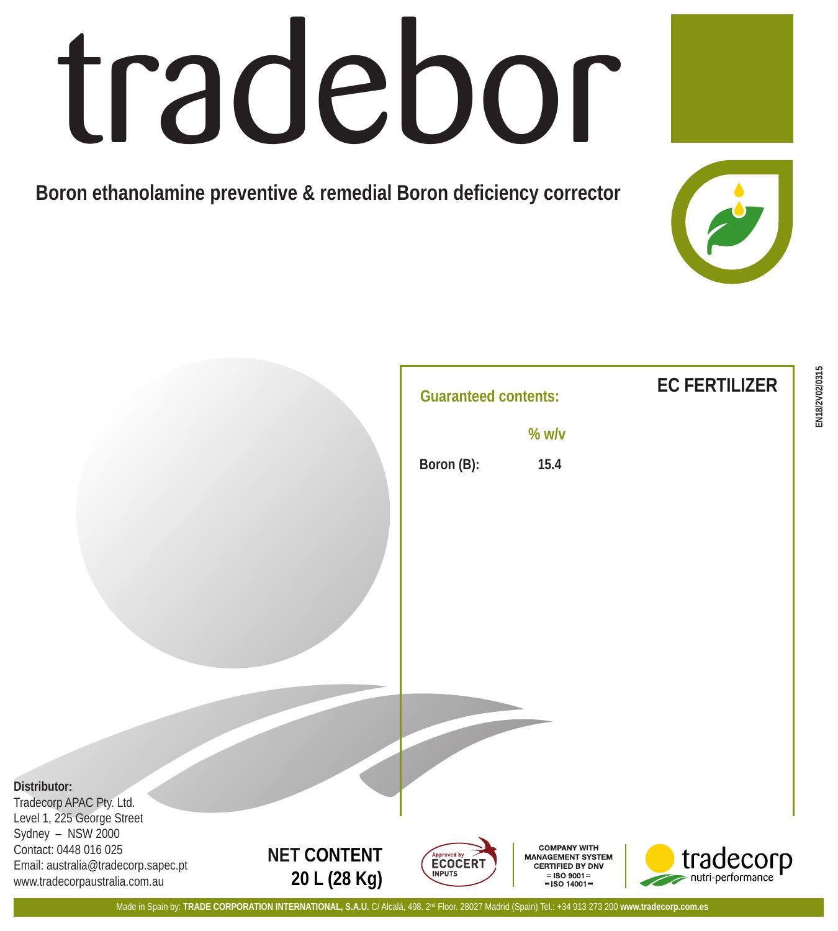## tradebor

**Boron ethanolamine preventive & remedial Boron deficiency corrector**